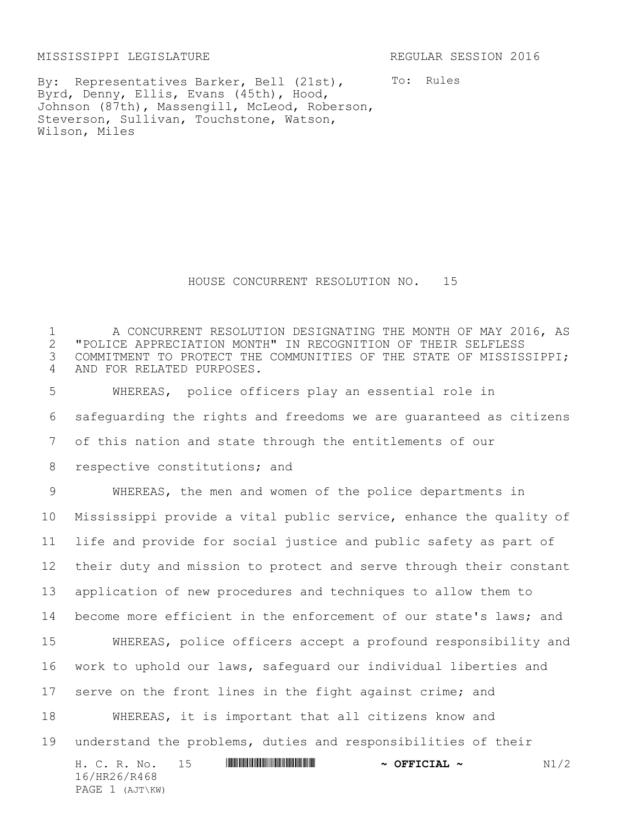MISSISSIPPI LEGISLATURE REGULAR SESSION 2016

PAGE 1 (AJT\KW)

To: Rules

By: Representatives Barker, Bell (21st), Byrd, Denny, Ellis, Evans (45th), Hood, Johnson (87th), Massengill, McLeod, Roberson, Steverson, Sullivan, Touchstone, Watson, Wilson, Miles

## HOUSE CONCURRENT RESOLUTION NO. 15

 A CONCURRENT RESOLUTION DESIGNATING THE MONTH OF MAY 2016, AS "POLICE APPRECIATION MONTH" IN RECOGNITION OF THEIR SELFLESS COMMITMENT TO PROTECT THE COMMUNITIES OF THE STATE OF MISSISSIPPI; AND FOR RELATED PURPOSES.

 WHEREAS, police officers play an essential role in safeguarding the rights and freedoms we are guaranteed as citizens of this nation and state through the entitlements of our 8 respective constitutions; and

H. C. R. No. 15 \*HR26/R468\* **~ OFFICIAL ~** N1/2 16/HR26/R468 WHEREAS, the men and women of the police departments in Mississippi provide a vital public service, enhance the quality of life and provide for social justice and public safety as part of their duty and mission to protect and serve through their constant application of new procedures and techniques to allow them to 14 become more efficient in the enforcement of our state's laws; and WHEREAS, police officers accept a profound responsibility and work to uphold our laws, safeguard our individual liberties and serve on the front lines in the fight against crime; and WHEREAS, it is important that all citizens know and understand the problems, duties and responsibilities of their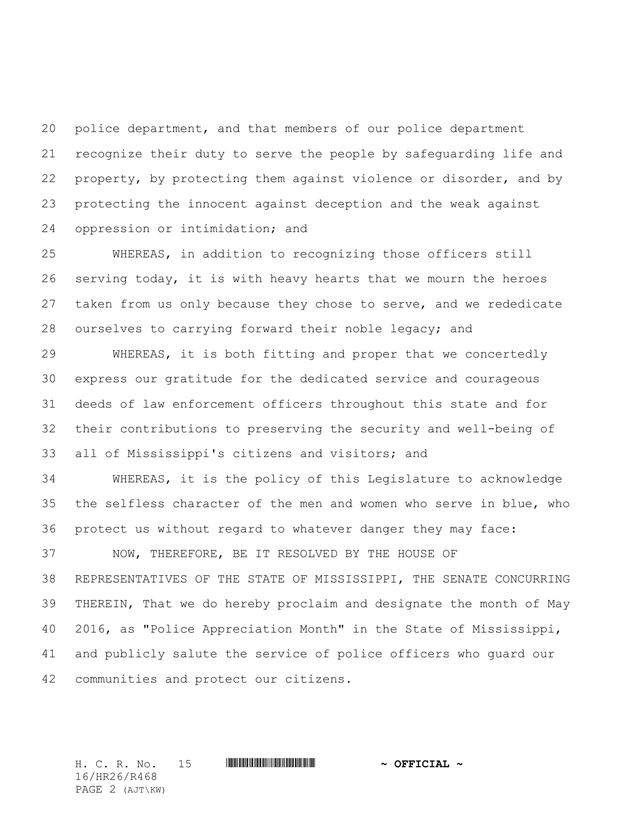police department, and that members of our police department recognize their duty to serve the people by safeguarding life and 22 property, by protecting them against violence or disorder, and by protecting the innocent against deception and the weak against oppression or intimidation; and

 WHEREAS, in addition to recognizing those officers still serving today, it is with heavy hearts that we mourn the heroes 27 taken from us only because they chose to serve, and we rededicate ourselves to carrying forward their noble legacy; and

 WHEREAS, it is both fitting and proper that we concertedly express our gratitude for the dedicated service and courageous deeds of law enforcement officers throughout this state and for their contributions to preserving the security and well-being of all of Mississippi's citizens and visitors; and

 WHEREAS, it is the policy of this Legislature to acknowledge the selfless character of the men and women who serve in blue, who protect us without regard to whatever danger they may face:

 NOW, THEREFORE, BE IT RESOLVED BY THE HOUSE OF REPRESENTATIVES OF THE STATE OF MISSISSIPPI, THE SENATE CONCURRING THEREIN, That we do hereby proclaim and designate the month of May 2016, as "Police Appreciation Month" in the State of Mississippi, and publicly salute the service of police officers who guard our communities and protect our citizens.

H. C. R. No. 15 **WINNIFFICULAL A. PRESCIAL ~** 16/HR26/R468 PAGE 2 (AJT\KW)